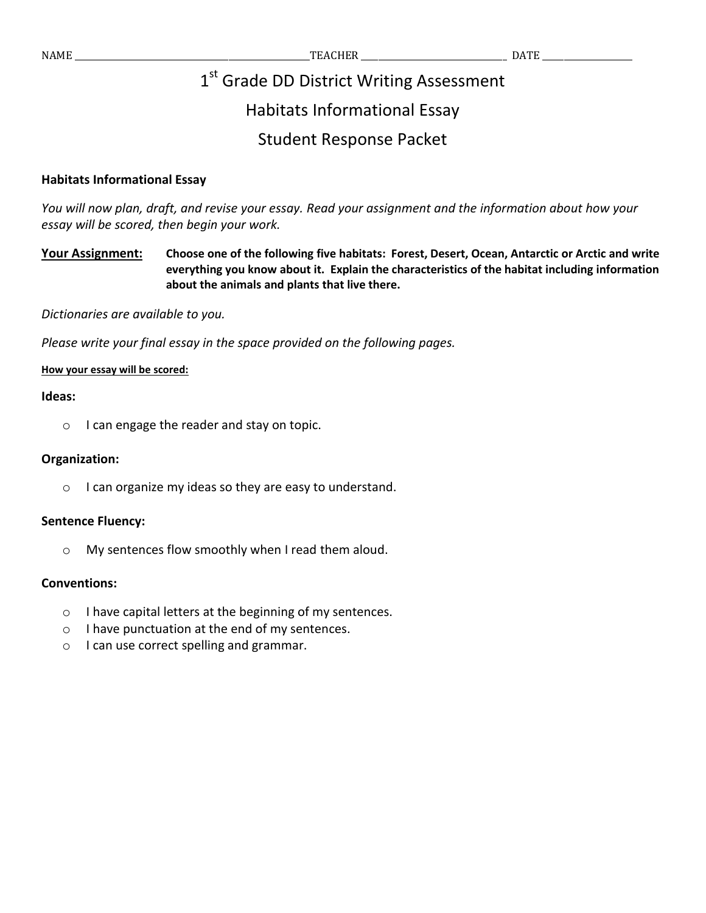# 1st Grade DD District Writing Assessment

# Habitats Informational Essay

# Student Response Packet

## **Habitats Informational Essay**

*You will now plan, draft, and revise your essay. Read your assignment and the information about how your essay will be scored, then begin your work.* 

**Your Assignment: Choose one of the following five habitats: Forest, Desert, Ocean, Antarctic or Arctic and write everything you know about it. Explain the characteristics of the habitat including information about the animals and plants that live there.**

*Dictionaries are available to you.* 

*Please write your final essay in the space provided on the following pages.*

### **How your essay will be scored:**

#### **Ideas:**

o I can engage the reader and stay on topic.

#### **Organization:**

o I can organize my ideas so they are easy to understand.

### **Sentence Fluency:**

o My sentences flow smoothly when I read them aloud.

### **Conventions:**

- o I have capital letters at the beginning of my sentences.
- o I have punctuation at the end of my sentences.
- o I can use correct spelling and grammar.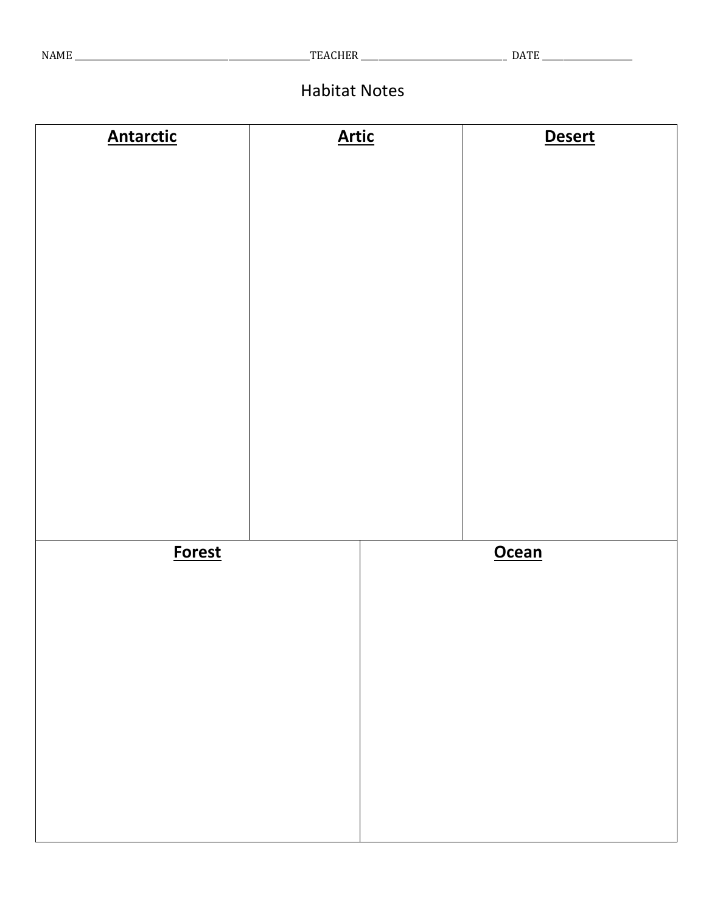# Habitat Notes

| <b>Antarctic</b> | <b>Artic</b> | <b>Desert</b> |  |  |
|------------------|--------------|---------------|--|--|
|                  |              |               |  |  |
|                  |              |               |  |  |
|                  |              |               |  |  |
|                  |              |               |  |  |
|                  |              |               |  |  |
|                  |              |               |  |  |
|                  |              |               |  |  |
|                  |              |               |  |  |
|                  |              |               |  |  |
|                  |              |               |  |  |
|                  |              |               |  |  |
| <b>Forest</b>    |              | <b>Ocean</b>  |  |  |
|                  |              |               |  |  |
|                  |              |               |  |  |
|                  |              |               |  |  |
|                  |              |               |  |  |
|                  |              |               |  |  |
|                  |              |               |  |  |
|                  |              |               |  |  |
|                  |              |               |  |  |
|                  |              |               |  |  |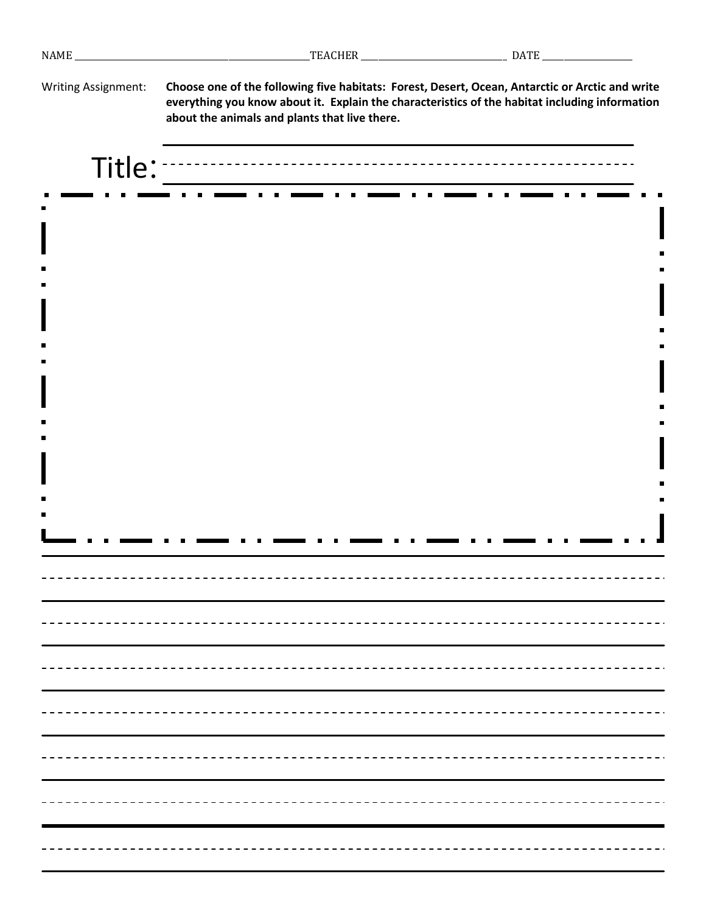| Writing Assignment: | Choose one of the following five habitats: Forest, Desert, Ocean, Antarctic or Arctic and write<br>everything you know about it. Explain the characteristics of the habitat including information<br>about the animals and plants that live there. |
|---------------------|----------------------------------------------------------------------------------------------------------------------------------------------------------------------------------------------------------------------------------------------------|
| Title:              |                                                                                                                                                                                                                                                    |
|                     |                                                                                                                                                                                                                                                    |
|                     |                                                                                                                                                                                                                                                    |
|                     |                                                                                                                                                                                                                                                    |
|                     |                                                                                                                                                                                                                                                    |
|                     |                                                                                                                                                                                                                                                    |
|                     |                                                                                                                                                                                                                                                    |
|                     |                                                                                                                                                                                                                                                    |
|                     |                                                                                                                                                                                                                                                    |
|                     |                                                                                                                                                                                                                                                    |
|                     |                                                                                                                                                                                                                                                    |